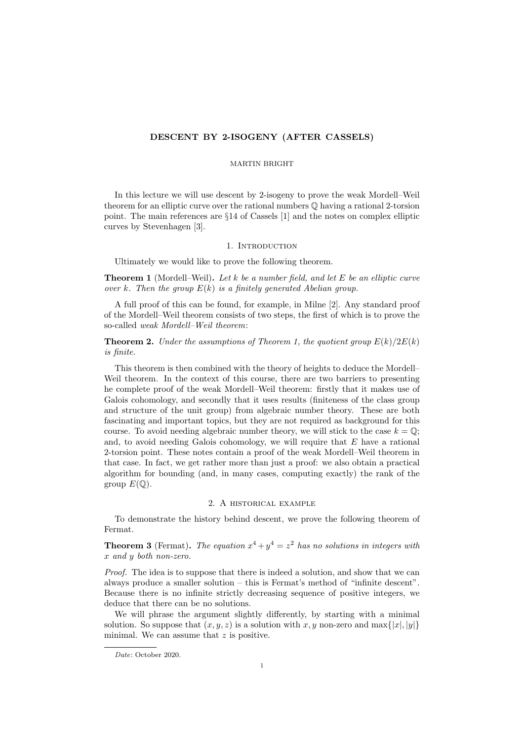# DESCENT BY 2-ISOGENY (AFTER CASSELS)

### MARTIN BRIGHT

In this lecture we will use descent by 2-isogeny to prove the weak Mordell–Weil theorem for an elliptic curve over the rational numbers Q having a rational 2-torsion point. The main references are §14 of Cassels [1] and the notes on complex elliptic curves by Stevenhagen [3].

## 1. INTRODUCTION

Ultimately we would like to prove the following theorem.

**Theorem 1** (Mordell–Weil). Let k be a number field, and let E be an elliptic curve over k. Then the group  $E(k)$  is a finitely generated Abelian group.

A full proof of this can be found, for example, in Milne [2]. Any standard proof of the Mordell–Weil theorem consists of two steps, the first of which is to prove the so-called weak Mordell–Weil theorem:

**Theorem 2.** Under the assumptions of Theorem 1, the quotient group  $E(k)/2E(k)$ is finite.

This theorem is then combined with the theory of heights to deduce the Mordell– Weil theorem. In the context of this course, there are two barriers to presenting he complete proof of the weak Mordell–Weil theorem: firstly that it makes use of Galois cohomology, and secondly that it uses results (finiteness of the class group and structure of the unit group) from algebraic number theory. These are both fascinating and important topics, but they are not required as background for this course. To avoid needing algebraic number theory, we will stick to the case  $k = 0$ ; and, to avoid needing Galois cohomology, we will require that  $E$  have a rational 2-torsion point. These notes contain a proof of the weak Mordell–Weil theorem in that case. In fact, we get rather more than just a proof: we also obtain a practical algorithm for bounding (and, in many cases, computing exactly) the rank of the group  $E(\mathbb{Q})$ .

#### 2. A historical example

To demonstrate the history behind descent, we prove the following theorem of Fermat.

**Theorem 3** (Fermat). The equation  $x^4 + y^4 = z^2$  has no solutions in integers with x and y both non-zero.

Proof. The idea is to suppose that there is indeed a solution, and show that we can always produce a smaller solution – this is Fermat's method of "infinite descent". Because there is no infinite strictly decreasing sequence of positive integers, we deduce that there can be no solutions.

We will phrase the argument slightly differently, by starting with a minimal solution. So suppose that  $(x, y, z)$  is a solution with x, y non-zero and max $\{|x|, |y|\}$ minimal. We can assume that  $z$  is positive.

Date: October 2020.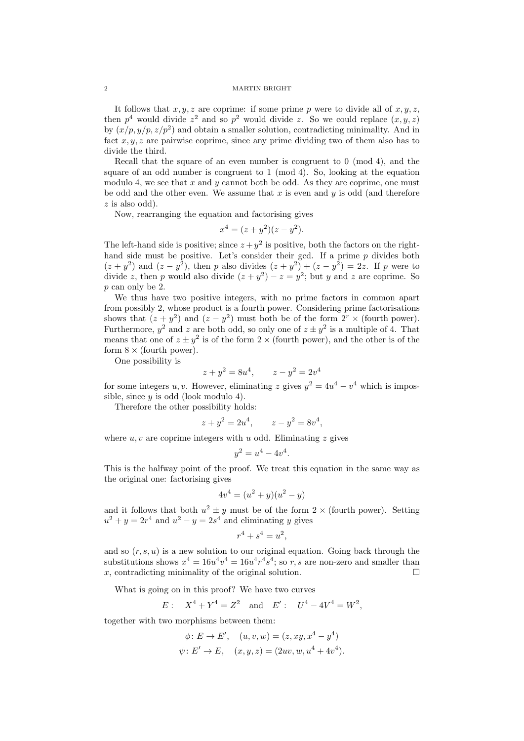#### 2 MARTIN BRIGHT

It follows that  $x, y, z$  are coprime: if some prime p were to divide all of  $x, y, z$ , then  $p^4$  would divide  $z^2$  and so  $p^2$  would divide z. So we could replace  $(x, y, z)$ by  $(x/p, y/p, z/p^2)$  and obtain a smaller solution, contradicting minimality. And in fact  $x, y, z$  are pairwise coprime, since any prime dividing two of them also has to divide the third.

Recall that the square of an even number is congruent to 0 (mod 4), and the square of an odd number is congruent to 1 (mod 4). So, looking at the equation modulo 4, we see that x and y cannot both be odd. As they are coprime, one must be odd and the other even. We assume that  $x$  is even and  $y$  is odd (and therefore z is also odd).

Now, rearranging the equation and factorising gives

$$
x^4 = (z + y^2)(z - y^2).
$$

The left-hand side is positive; since  $z + y^2$  is positive, both the factors on the righthand side must be positive. Let's consider their gcd. If a prime  $p$  divides both  $(z + y^2)$  and  $(z - y^2)$ , then p also divides  $(z + y^2) + (z - y^2) = 2z$ . If p were to divide z, then p would also divide  $(z + y^2) - z = y^2$ ; but y and z are coprime. So p can only be 2.

We thus have two positive integers, with no prime factors in common apart from possibly 2, whose product is a fourth power. Considering prime factorisations shows that  $(z + y^2)$  and  $(z - y^2)$  must both be of the form  $2^r \times$  (fourth power). Furthermore,  $y^2$  and z are both odd, so only one of  $z \pm y^2$  is a multiple of 4. That means that one of  $z \pm y^2$  is of the form  $2 \times$  (fourth power), and the other is of the form  $8 \times$  (fourth power).

One possibility is

$$
z + y^2 = 8u^4
$$
,  $z - y^2 = 2v^4$ 

for some integers u, v. However, eliminating z gives  $y^2 = 4u^4 - v^4$  which is impossible, since  $y$  is odd (look modulo 4).

Therefore the other possibility holds:

$$
z + y^2 = 2u^4
$$
,  $z - y^2 = 8v^4$ ,

where  $u, v$  are coprime integers with u odd. Eliminating z gives

$$
y^2 = u^4 - 4v^4.
$$

This is the halfway point of the proof. We treat this equation in the same way as the original one: factorising gives

$$
4v^4 = (u^2 + y)(u^2 - y)
$$

and it follows that both  $u^2 \pm y$  must be of the form  $2 \times$  (fourth power). Setting  $u^2 + y = 2r^4$  and  $u^2 - y = 2s^4$  and eliminating y gives

$$
r^4 + s^4 = u^2,
$$

and so  $(r, s, u)$  is a new solution to our original equation. Going back through the substitutions shows  $x^4 = 16u^4v^4 = 16u^4r^4s^4$ ; so r, s are non-zero and smaller than x, contradicting minimality of the original solution.  $\square$ 

What is going on in this proof? We have two curves

$$
E: X^4 + Y^4 = Z^2
$$
 and  $E': U^4 - 4V^4 = W^2$ ,

together with two morphisms between them:

$$
\phi: E \to E', \quad (u, v, w) = (z, xy, x^4 - y^4)
$$
  

$$
\psi: E' \to E, \quad (x, y, z) = (2uv, w, u^4 + 4v^4).
$$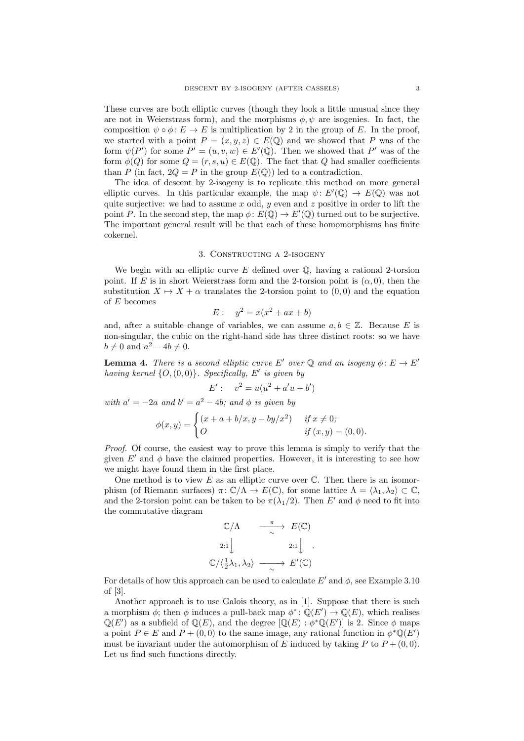These curves are both elliptic curves (though they look a little unusual since they are not in Weierstrass form), and the morphisms  $\phi, \psi$  are isogenies. In fact, the composition  $\psi \circ \phi : E \to E$  is multiplication by 2 in the group of E. In the proof, we started with a point  $P = (x, y, z) \in E(\mathbb{Q})$  and we showed that P was of the form  $\psi(P')$  for some  $P' = (u, v, w) \in E'(\mathbb{Q})$ . Then we showed that P' was of the form  $\phi(Q)$  for some  $Q = (r, s, u) \in E(Q)$ . The fact that Q had smaller coefficients than P (in fact,  $2Q = P$  in the group  $E(\mathbb{Q})$ ) led to a contradiction.

The idea of descent by 2-isogeny is to replicate this method on more general elliptic curves. In this particular example, the map  $\psi: E'(\mathbb{Q}) \to E(\mathbb{Q})$  was not quite surjective: we had to assume x odd, y even and z positive in order to lift the point P. In the second step, the map  $\phi: E(\mathbb{Q}) \to E'(\mathbb{Q})$  turned out to be surjective. The important general result will be that each of these homomorphisms has finite cokernel.

## 3. Constructing a 2-isogeny

We begin with an elliptic curve E defined over  $\mathbb Q$ , having a rational 2-torsion point. If E is in short Weierstrass form and the 2-torsion point is  $(\alpha, 0)$ , then the substitution  $X \mapsto X + \alpha$  translates the 2-torsion point to  $(0, 0)$  and the equation of E becomes

$$
E: \quad y^2 = x(x^2 + ax + b)
$$

and, after a suitable change of variables, we can assume  $a, b \in \mathbb{Z}$ . Because E is non-singular, the cubic on the right-hand side has three distinct roots: so we have  $b \neq 0$  and  $a^2 - 4b \neq 0$ .

**Lemma 4.** There is a second elliptic curve E' over  $\mathbb{Q}$  and an isogeny  $\phi: E \to E'$ having kernel  $\{O, (0, 0)\}$ . Specifically, E' is given by

$$
E': v^2 = u(u^2 + a'u + b')
$$

with  $a' = -2a$  and  $b' = a^2 - 4b$ ; and  $\phi$  is given by

$$
\phi(x,y) = \begin{cases} (x + a + b/x, y - by/x^2) & \text{if } x \neq 0; \\ O & \text{if } (x, y) = (0, 0). \end{cases}
$$

Proof. Of course, the easiest way to prove this lemma is simply to verify that the given  $E'$  and  $\phi$  have the claimed properties. However, it is interesting to see how we might have found them in the first place.

One method is to view  $E$  as an elliptic curve over  $\mathbb C$ . Then there is an isomorphism (of Riemann surfaces)  $\pi: \mathbb{C}/\Lambda \to E(\mathbb{C})$ , for some lattice  $\Lambda = \langle \lambda_1, \lambda_2 \rangle \subset \mathbb{C}$ . and the 2-torsion point can be taken to be  $\pi(\lambda_1/2)$ . Then E' and  $\phi$  need to fit into the commutative diagram

$$
\mathbb{C}/\Lambda \longrightarrow E(\mathbb{C})
$$
  
\n
$$
2:1 \downarrow \qquad 2:1 \downarrow \qquad \qquad 2:1 \downarrow \qquad \qquad 2:1 \downarrow \qquad \qquad 2:1 \downarrow \qquad \qquad 2:1 \downarrow \qquad \qquad 2:1 \downarrow \qquad \qquad 2:1 \downarrow \qquad \qquad 2:1 \downarrow \qquad \qquad 2:1 \downarrow \qquad \qquad 2:1 \downarrow \qquad \qquad 2:1 \downarrow \qquad \qquad 2:1 \downarrow \qquad \qquad 2:1 \downarrow \qquad \qquad 2:1 \downarrow \qquad \qquad 2:1 \downarrow \qquad \qquad 2:1 \downarrow \qquad \qquad 2:1 \downarrow \qquad \qquad 2:1 \downarrow \qquad \qquad 2:1 \downarrow \qquad \qquad 2:1 \downarrow \qquad \qquad 2:1 \downarrow \qquad \qquad 2:1 \downarrow \qquad \qquad 2:1 \downarrow \qquad \qquad 2:1 \downarrow \qquad \qquad 2:1 \downarrow \qquad \qquad 2:1 \downarrow \qquad \qquad 2:1 \downarrow \qquad \qquad 2:1 \downarrow \qquad \qquad 2:1 \downarrow \qquad \qquad 2:1 \downarrow \qquad \qquad 2:1 \downarrow \qquad \qquad 2:1 \downarrow \qquad \qquad 2:1 \downarrow \qquad \qquad 2:1 \downarrow \qquad \qquad 2:1 \downarrow \qquad \qquad 2:1 \downarrow \qquad \qquad 2:1 \downarrow \qquad \qquad 2:1 \downarrow \qquad \qquad 2:1 \downarrow \qquad \qquad 2:1 \downarrow \qquad \qquad 2:1 \downarrow \qquad \qquad 2:1 \downarrow \qquad \qquad 2:1 \downarrow \qquad \qquad 2:1 \downarrow \qquad \qquad 2:1 \downarrow \qquad \qquad 2:1 \downarrow \qquad \qquad 2:1 \downarrow \qquad \qquad 2:1 \downarrow \qquad \qquad 2:1 \downarrow \qquad \qquad 2:1 \downarrow \qquad \qquad 2:1 \downarrow \qquad \qquad 2:1 \downarrow \qquad \qquad 2:1 \downarrow \qquad \qquad 2:1 \downarrow \qquad \qquad 2:1 \downarrow \qquad \qquad 2:1 \downarrow
$$

For details of how this approach can be used to calculate E' and  $\phi$ , see Example 3.10 of [3].

Another approach is to use Galois theory, as in [1]. Suppose that there is such a morphism  $\phi$ ; then  $\phi$  induces a pull-back map  $\phi^* : \mathbb{Q}(E') \to \mathbb{Q}(E)$ , which realises  $\mathbb{Q}(E')$  as a subfield of  $\mathbb{Q}(E)$ , and the degree  $[\mathbb{Q}(E) : \phi^*\mathbb{Q}(E')]$  is 2. Since  $\phi$  maps a point  $P \in E$  and  $P + (0,0)$  to the same image, any rational function in  $\phi^* \mathbb{Q}(E')$ must be invariant under the automorphism of E induced by taking P to  $P + (0, 0)$ . Let us find such functions directly.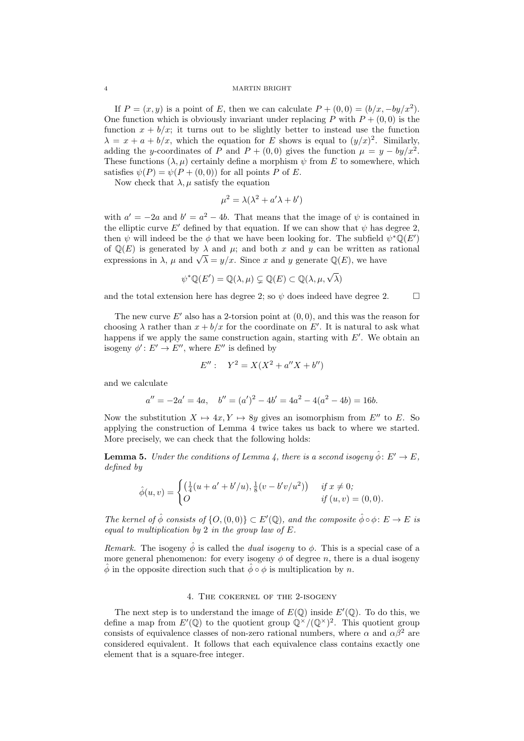#### 4 MARTIN BRIGHT

If  $P = (x, y)$  is a point of E, then we can calculate  $P + (0, 0) = (b/x, -by/x^2)$ . One function which is obviously invariant under replacing P with  $P + (0,0)$  is the function  $x + b/x$ ; it turns out to be slightly better to instead use the function  $\lambda = x + a + b/x$ , which the equation for E shows is equal to  $(y/x)^2$ . Similarly, adding the y-coordinates of P and  $P + (0,0)$  gives the function  $\mu = y - by/x^2$ . These functions  $(\lambda, \mu)$  certainly define a morphism  $\psi$  from E to somewhere, which satisfies  $\psi(P) = \psi(P + (0,0))$  for all points P of E.

Now check that  $\lambda, \mu$  satisfy the equation

$$
\mu^2 = \lambda(\lambda^2 + a'\lambda + b')
$$

with  $a' = -2a$  and  $b' = a^2 - 4b$ . That means that the image of  $\psi$  is contained in the elliptic curve  $E'$  defined by that equation. If we can show that  $\psi$  has degree 2. then  $\psi$  will indeed be the  $\phi$  that we have been looking for. The subfield  $\psi^* \mathbb{Q}(E')$ of  $\mathbb{Q}(E)$  is generated by  $\lambda$  and  $\mu$ ; and both x and y can be written as rational or  $\mathcal{Q}(E)$  is generated by  $\lambda$  and  $\mu$ ; and both x and y can be written as<br>expressions in  $\lambda$ ,  $\mu$  and  $\sqrt{\lambda} = y/x$ . Since x and y generate  $\mathbb{Q}(E)$ , we have

$$
\psi^* \mathbb{Q}(E') = \mathbb{Q}(\lambda, \mu) \subsetneq \mathbb{Q}(E) \subset \mathbb{Q}(\lambda, \mu, \sqrt{\lambda})
$$

and the total extension here has degree 2; so  $\psi$  does indeed have degree 2.

The new curve  $E'$  also has a 2-torsion point at  $(0, 0)$ , and this was the reason for choosing  $\lambda$  rather than  $x + b/x$  for the coordinate on E'. It is natural to ask what happens if we apply the same construction again, starting with  $E'$ . We obtain an isogeny  $\phi' : E' \to E''$ , where  $E''$  is defined by

$$
E'' : Y^2 = X(X^2 + a''X + b'')
$$

and we calculate

$$
a'' = -2a' = 4a, \quad b'' = (a')^2 - 4b' = 4a^2 - 4(a^2 - 4b) = 16b.
$$

Now the substitution  $X \mapsto 4x, Y \mapsto 8y$  gives an isomorphism from  $E''$  to E. So applying the construction of Lemma 4 twice takes us back to where we started. More precisely, we can check that the following holds:

**Lemma 5.** Under the conditions of Lemma 4, there is a second isogeny  $\hat{\phi} \colon E' \to E$ , defined by

$$
\hat{\phi}(u,v) = \begin{cases} \left(\frac{1}{4}(u+a'+b'/u), \frac{1}{8}(v-b'v/u^2)\right) & \text{if } x \neq 0; \\ O & \text{if } (u,v) = (0,0). \end{cases}
$$

The kernel of  $\hat{\phi}$  consists of  $\{O,(0,0)\}\subset E'(\mathbb{Q})$ , and the composite  $\hat{\phi}\circ\phi\colon E\to E$  is equal to multiplication by 2 in the group law of  $E$ .

Remark. The isogeny  $\phi$  is called the *dual isogeny* to  $\phi$ . This is a special case of a more general phenomenon: for every isogeny  $\phi$  of degree n, there is a dual isogeny  $\hat{\phi}$  in the opposite direction such that  $\hat{\phi} \circ \phi$  is multiplication by n.

#### 4. The cokernel of the 2-isogeny

The next step is to understand the image of  $E(\mathbb{Q})$  inside  $E'(\mathbb{Q})$ . To do this, we define a map from  $E'(\mathbb{Q})$  to the quotient group  $\mathbb{Q}^{\times}/(\mathbb{Q}^{\times})^2$ . This quotient group consists of equivalence classes of non-zero rational numbers, where  $\alpha$  and  $\alpha\beta^2$  are considered equivalent. It follows that each equivalence class contains exactly one element that is a square-free integer.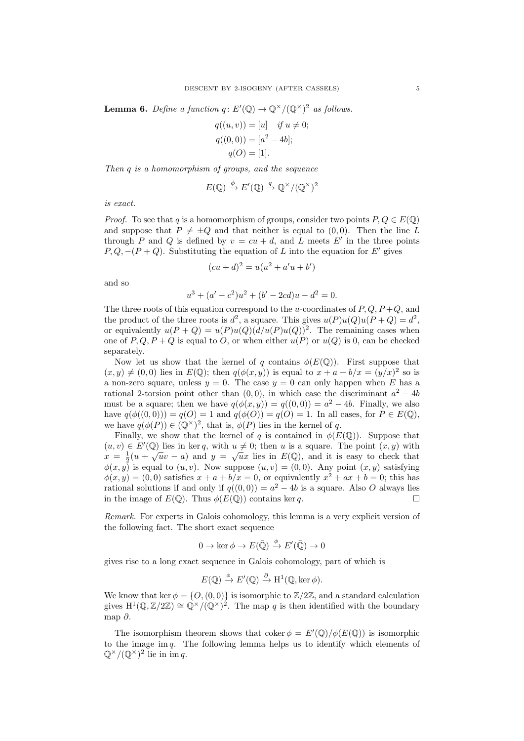**Lemma 6.** Define a function  $q: E'(\mathbb{Q}) \to \mathbb{Q}^{\times}/(\mathbb{Q}^{\times})^2$  as follows.

$$
q((u, v)) = [u] \quad \text{if } u \neq 0; \\
q((0, 0)) = [a^2 - 4b]; \\
q(O) = [1].
$$

Then q is a homomorphism of groups, and the sequence

$$
E(\mathbb{Q}) \xrightarrow{\phi} E'(\mathbb{Q}) \xrightarrow{q} \mathbb{Q}^{\times}/(\mathbb{Q}^{\times})^2
$$

is exact.

*Proof.* To see that q is a homomorphism of groups, consider two points  $P, Q \in E(\mathbb{Q})$ and suppose that  $P \neq \pm Q$  and that neither is equal to (0,0). Then the line L through P and Q is defined by  $v = cu + d$ , and L meets E' in the three points  $P, Q, -(P+Q)$ . Substituting the equation of L into the equation for E' gives

$$
(cu + d)^2 = u(u^2 + a'u + b')
$$

and so

$$
u^{3} + (a' - c^{2})u^{2} + (b' - 2cd)u - d^{2} = 0.
$$

The three roots of this equation correspond to the u-coordinates of  $P, Q, P+Q$ , and the product of the three roots is  $d^2$ , a square. This gives  $u(P)u(Q)u(P+Q) = d^2$ , or equivalently  $u(P+Q) = u(P)u(Q)(d/u(P)u(Q))^2$ . The remaining cases when one of  $P, Q, P + Q$  is equal to O, or when either  $u(P)$  or  $u(Q)$  is 0, can be checked separately.

Now let us show that the kernel of q contains  $\phi(E(\mathbb{Q}))$ . First suppose that  $(x, y) \neq (0, 0)$  lies in  $E(\mathbb{Q})$ ; then  $q(\phi(x, y))$  is equal to  $x + a + b/x = (y/x)^2$  so is a non-zero square, unless  $y = 0$ . The case  $y = 0$  can only happen when E has a rational 2-torsion point other than  $(0,0)$ , in which case the discriminant  $a^2 - 4b$ must be a square; then we have  $q(\phi(x, y)) = q((0, 0)) = a^2 - 4b$ . Finally, we also have  $q(\phi((0,0))) = q(O) = 1$  and  $q(\phi(O)) = q(O) = 1$ . In all cases, for  $P \in E(\mathbb{Q})$ , we have  $q(\phi(P)) \in (\mathbb{Q}^{\times})^2$ , that is,  $\phi(P)$  lies in the kernel of q.

Finally, we show that the kernel of q is contained in  $\phi(E(\mathbb{Q}))$ . Suppose that  $(u, v) \in E'(\mathbb{Q})$  lies in ker q, with  $u \neq 0$ ; then u is a square. The point  $(x, y)$  with  $x = \frac{1}{2}(u + \sqrt{u}v - a)$  and  $y = \sqrt{u}x$  lies in  $E(\mathbb{Q})$ , and it is easy to check that  $\phi(x, y)$  is equal to  $(u, v)$ . Now suppose  $(u, v) = (0, 0)$ . Any point  $(x, y)$  satisfying  $\phi(x,y) = (0,0)$  satisfies  $x + a + b/x = 0$ , or equivalently  $x^2 + ax + b = 0$ ; this has rational solutions if and only if  $q((0,0)) = a^2 - 4b$  is a square. Also O always lies in the image of  $E(\mathbb{Q})$ . Thus  $\phi(E(\mathbb{Q}))$  contains ker q.

Remark. For experts in Galois cohomology, this lemma is a very explicit version of the following fact. The short exact sequence

$$
0 \to \ker \phi \to E(\bar{\mathbb{Q}}) \xrightarrow{\phi} E'(\bar{\mathbb{Q}}) \to 0
$$

gives rise to a long exact sequence in Galois cohomology, part of which is

$$
E(\mathbb{Q}) \xrightarrow{\phi} E'(\mathbb{Q}) \xrightarrow{\partial} H^1(\mathbb{Q}, \ker \phi).
$$

We know that ker  $\phi = \{O, (0, 0)\}\$ is isomorphic to  $\mathbb{Z}/2\mathbb{Z}$ , and a standard calculation gives  $H^1(\mathbb{Q}, \mathbb{Z}/2\mathbb{Z}) \cong \mathbb{Q}^{\times}/(\mathbb{Q}^{\times})^2$ . The map q is then identified with the boundary map  $\partial$ .

The isomorphism theorem shows that coker  $\phi = E'(\mathbb{Q})/\phi(E(\mathbb{Q}))$  is isomorphic to the image im q. The following lemma helps us to identify which elements of  $\mathbb{Q}^{\times}/(\mathbb{Q}^{\times})^2$  lie in im q.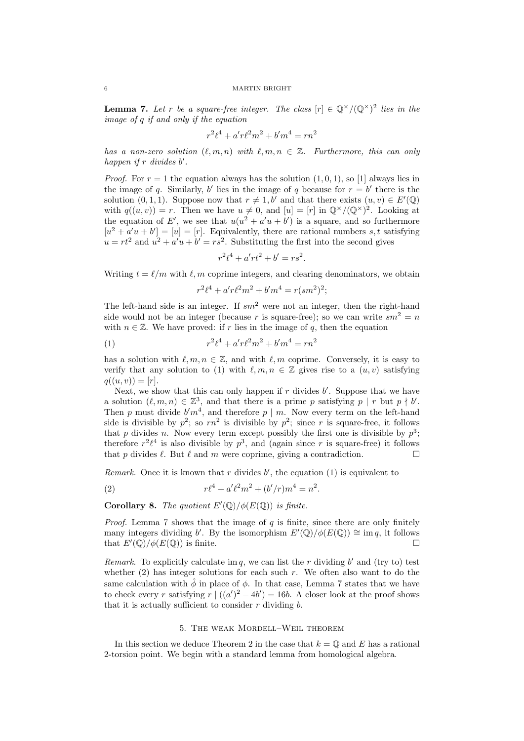**Lemma 7.** Let r be a square-free integer. The class  $[r] \in \mathbb{Q}^{\times}/(\mathbb{Q}^{\times})^2$  lies in the image of q if and only if the equation

$$
r^2\ell^4 + a'r\ell^2m^2 + b'm^4 = rn^2
$$

has a non-zero solution  $(\ell, m, n)$  with  $\ell, m, n \in \mathbb{Z}$ . Furthermore, this can only happen if  $r$  divides  $b'$ .

*Proof.* For  $r = 1$  the equation always has the solution  $(1, 0, 1)$ , so [1] always lies in the image of q. Similarly, b' lies in the image of q because for  $r = b'$  there is the solution  $(0, 1, 1)$ . Suppose now that  $r \neq 1, b'$  and that there exists  $(u, v) \in E'(\mathbb{Q})$ with  $q((u, v)) = r$ . Then we have  $u \neq 0$ , and  $[u] = [r]$  in  $\mathbb{Q}^{\times}/(\mathbb{Q}^{\times})^2$ . Looking at the equation of E', we see that  $u(u^2 + a'u + b')$  is a square, and so furthermore  $[u^2 + a'u + b'] = [u] = [r]$ . Equivalently, there are rational numbers s, t satisfying  $u = rt^2$  and  $u^2 + a'u + b' = rs^2$ . Substituting the first into the second gives

$$
r^2t^4 + a'rt^2 + b' = rs^2
$$

.

Writing  $t = \ell/m$  with  $\ell, m$  coprime integers, and clearing denominators, we obtain

$$
r^2\ell^4 + a'r\ell^2m^2 + b'm^4 = r(sm^2)^2;
$$

The left-hand side is an integer. If  $sm^2$  were not an integer, then the right-hand side would not be an integer (because r is square-free); so we can write  $sm^2 = n$ with  $n \in \mathbb{Z}$ . We have proved: if r lies in the image of q, then the equation

(1) 
$$
r^2\ell^4 + a'r\ell^2m^2 + b'm^4 = rn^2
$$

has a solution with  $\ell, m, n \in \mathbb{Z}$ , and with  $\ell, m$  coprime. Conversely, it is easy to verify that any solution to (1) with  $\ell, m, n \in \mathbb{Z}$  gives rise to a  $(u, v)$  satisfying  $q((u, v)) = [r].$ 

Next, we show that this can only happen if  $r$  divides  $b'$ . Suppose that we have a solution  $(\ell, m, n) \in \mathbb{Z}^3$ , and that there is a prime p satisfying  $p \mid r$  but  $p \nmid b'$ . Then p must divide  $b'm^4$ , and therefore  $p \mid m$ . Now every term on the left-hand side is divisible by  $p^2$ ; so  $rn^2$  is divisible by  $p^2$ ; since r is square-free, it follows that p divides n. Now every term except possibly the first one is divisible by  $p^3$ ; therefore  $r^2\ell^4$  is also divisible by  $p^3$ , and (again since r is square-free) it follows that p divides  $\ell$ . But  $\ell$  and m were coprime, giving a contradiction.

Remark. Once it is known that  $r$  divides  $b'$ , the equation (1) is equivalent to

(2) 
$$
r\ell^4 + a'\ell^2 m^2 + (b'/r)m^4 = n^2.
$$

**Corollary 8.** The quotient  $E'(\mathbb{Q})/\phi(E(\mathbb{Q}))$  is finite.

*Proof.* Lemma 7 shows that the image of q is finite, since there are only finitely many integers dividing b'. By the isomorphism  $E'(\mathbb{Q})/\phi(E(\mathbb{Q})) \cong \text{im } q$ , it follows that  $E'(\mathbb{Q})/\phi(E(\mathbb{Q}))$  is finite.

Remark. To explicitly calculate im q, we can list the r dividing  $b'$  and (try to) test whether  $(2)$  has integer solutions for each such r. We often also want to do the same calculation with  $\hat{\phi}$  in place of  $\phi$ . In that case, Lemma 7 states that we have to check every r satisfying  $r \mid ((a')^2 - 4b') = 16b$ . A closer look at the proof shows that it is actually sufficient to consider  $r$  dividing  $b$ .

### 5. The weak Mordell–Weil theorem

In this section we deduce Theorem 2 in the case that  $k = 0$  and E has a rational 2-torsion point. We begin with a standard lemma from homological algebra.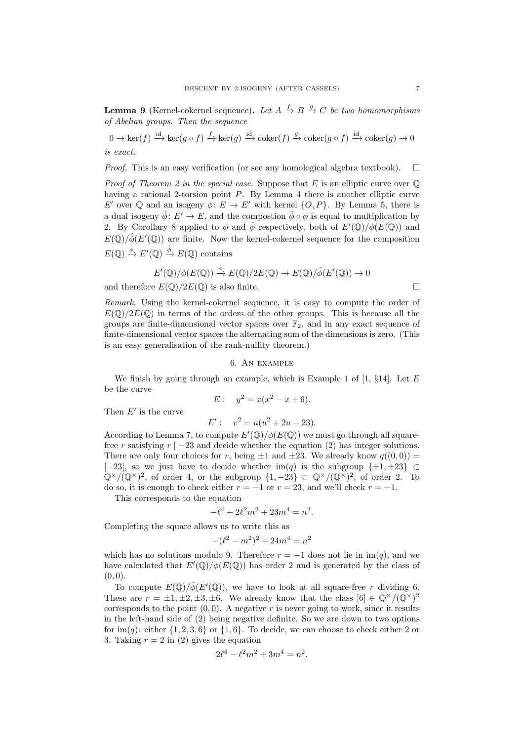**Lemma 9** (Kernel-cokernel sequence). Let  $A \xrightarrow{f} B \xrightarrow{g} C$  be two homomorphisms of Abelian groups. Then the sequence

$$
0 \to \ker(f) \xrightarrow{\mathrm{id}} \ker(g \circ f) \xrightarrow{f} \ker(g) \xrightarrow{\mathrm{id}} \operatorname{coker}(f) \xrightarrow{g} \operatorname{coker}(g \circ f) \xrightarrow{\mathrm{id}} \operatorname{coker}(g) \to 0
$$
  
is exact.

*Proof.* This is an easy verification (or see any homological algebra textbook).  $\square$ 

*Proof of Theorem 2 in the special case.* Suppose that  $E$  is an elliptic curve over  $\mathbb Q$ having a rational 2-torsion point P. By Lemma 4 there is another elliptic curve E' over Q and an isogeny  $\phi: E \to E'$  with kernel  $\{O, P\}$ . By Lemma 5, there is a dual isogeny  $\hat{\phi} \colon E' \to E$ , and the compostion  $\hat{\phi} \circ \phi$  is equal to multiplication by 2. By Corollary 8 applied to  $\phi$  and  $\hat{\phi}$  respectively, both of  $E'(\mathbb{Q})/\phi(E(\mathbb{Q}))$  and  $E(\mathbb{Q})/\hat{\phi}(E'(\mathbb{Q}))$  are finite. Now the kernel-cokernel sequence for the composition  $E(\mathbb{Q}) \xrightarrow{\phi} E'(\mathbb{Q}) \xrightarrow{\hat{\phi}} E(\mathbb{Q})$  contains

$$
E'(\mathbb{Q})/\phi(E(\mathbb{Q})) \xrightarrow{\hat{\phi}} E(\mathbb{Q})/2E(\mathbb{Q}) \to E(\mathbb{Q})/\hat{\phi}(E'(\mathbb{Q})) \to 0
$$

and therefore  $E(\mathbb{Q})/2E(\mathbb{Q})$  is also finite.

Remark. Using the kernel-cokernel sequence, it is easy to compute the order of  $E(\mathbb{Q})/2E(\mathbb{Q})$  in terms of the orders of the other groups. This is because all the groups are finite-dimensional vector spaces over  $\mathbb{F}_2$ , and in any exact sequence of finite-dimensional vector spaces the alternating sum of the dimensions is zero. (This is an easy generalisation of the rank-nullity theorem.)

# 6. An example

We finish by going through an example, which is Example 1 of  $[1, §14]$ . Let E be the curve

$$
E: \quad y^2 = x(x^2 - x + 6).
$$

Then  $E'$  is the curve

$$
E': \quad v^2 = u(u^2 + 2u - 23).
$$

According to Lemma 7, to compute  $E'(\mathbb{Q})/\phi(E(\mathbb{Q}))$  we must go through all squarefree r satisfying r | −23 and decide whether the equation (2) has integer solutions. There are only four choices for r, being  $\pm 1$  and  $\pm 23$ . We already know  $q((0,0))$  = [−23], so we just have to decide whether im(q) is the subgroup  $\{\pm 1, \pm 23\}$  $\mathbb{Q}^{\times}/(\mathbb{Q}^{\times})^2$ , of order 4, or the subgroup  $\{1, -23\} \subset \mathbb{Q}^{\times}/(\mathbb{Q}^{\times})^2$ , of order 2. To do so, it is enough to check either  $r = -1$  or  $r = 23$ , and we'll check  $r = -1$ .

This corresponds to the equation

$$
-\ell^4 + 2\ell^2 m^2 + 23m^4 = n^2.
$$

Completing the square allows us to write this as

$$
-(\ell^2 - m^2)^2 + 24m^4 = n^2
$$

which has no solutions modulo 9. Therefore  $r = -1$  does not lie in im(q), and we have calculated that  $E'(\mathbb{Q})/\phi(E(\mathbb{Q}))$  has order 2 and is generated by the class of  $(0, 0).$ 

To compute  $E(\mathbb{Q})/\hat{\phi}(E'(\mathbb{Q}))$ , we have to look at all square-free r dividing 6. These are  $r = \pm 1, \pm 2, \pm 3, \pm 6$ . We already know that the class  $[6] \in \mathbb{Q}^{\times}/(\mathbb{Q}^{\times})^2$ corresponds to the point  $(0, 0)$ . A negative r is never going to work, since it results in the left-hand side of (2) being negative definite. So we are down to two options for  $\text{im}(q)$ : either  $\{1, 2, 3, 6\}$  or  $\{1, 6\}$ . To decide, we can choose to check either 2 or 3. Taking  $r = 2$  in (2) gives the equation

$$
2\ell^4 - \ell^2 m^2 + 3m^4 = n^2,
$$